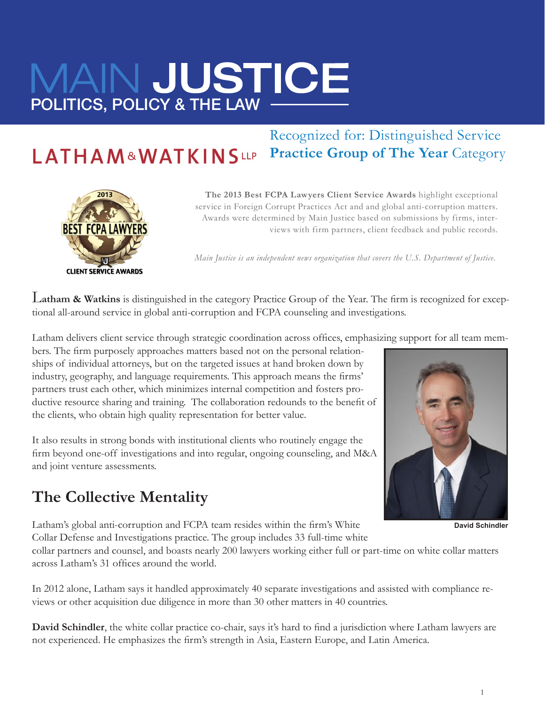## **AIN JUSTICE** POLITICS, POLICY & THE LAW

## Recognized for: Distinguished Service **Practice Group of The Year Category** LATHAM&WATKINSLLP



**The 2013 Best FCPA Lawyers Client Service Awards** highlight exceptional service in Foreign Corrupt Practices Act and and global anti-corruption matters. Awards were determined by Main Justice based on submissions by firms, interviews with firm partners, client feedback and public records.

*Main Justice is an independent news organization that covers the U.S. Department of Justice.*

L**atham & Watkins** is distinguished in the category Practice Group of the Year. The firm is recognized for exceptional all-around service in global anti-corruption and FCPA counseling and investigations.

Latham delivers client service through strategic coordination across offices, emphasizing support for all team mem-

bers. The firm purposely approaches matters based not on the personal relationships of individual attorneys, but on the targeted issues at hand broken down by industry, geography, and language requirements. This approach means the firms' partners trust each other, which minimizes internal competition and fosters productive resource sharing and training. The collaboration redounds to the benefit of the clients, who obtain high quality representation for better value.

It also results in strong bonds with institutional clients who routinely engage the firm beyond one-off investigations and into regular, ongoing counseling, and M&A and joint venture assessments.

## **The Collective Mentality**



**David Schindler**

Latham's global anti-corruption and FCPA team resides within the firm's White Collar Defense and Investigations practice. The group includes 33 full-time white

collar partners and counsel, and boasts nearly 200 lawyers working either full or part-time on white collar matters across Latham's 31 offices around the world.

In 2012 alone, Latham says it handled approximately 40 separate investigations and assisted with compliance reviews or other acquisition due diligence in more than 30 other matters in 40 countries.

**David Schindler**, the white collar practice co-chair, says it's hard to find a jurisdiction where Latham lawyers are not experienced. He emphasizes the firm's strength in Asia, Eastern Europe, and Latin America.